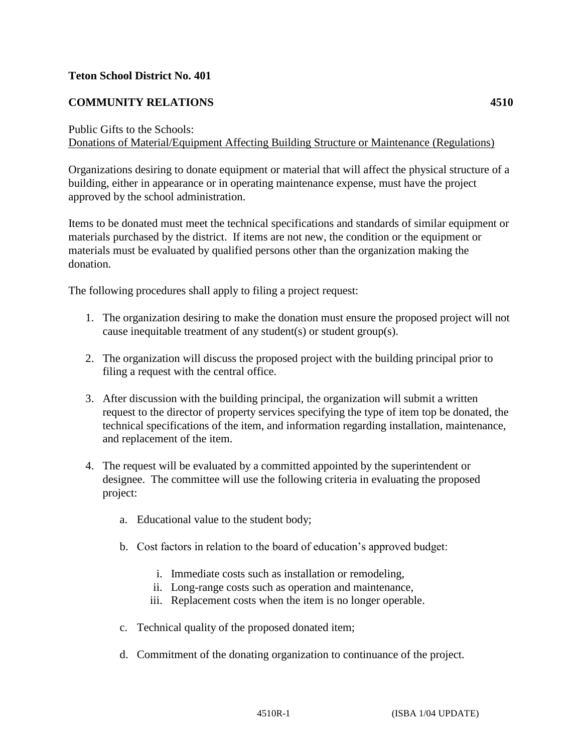## **Teton School District No. 401**

## **COMMUNITY RELATIONS 4510**

## Public Gifts to the Schools:

Donations of Material/Equipment Affecting Building Structure or Maintenance (Regulations)

Organizations desiring to donate equipment or material that will affect the physical structure of a building, either in appearance or in operating maintenance expense, must have the project approved by the school administration.

Items to be donated must meet the technical specifications and standards of similar equipment or materials purchased by the district. If items are not new, the condition or the equipment or materials must be evaluated by qualified persons other than the organization making the donation.

The following procedures shall apply to filing a project request:

- 1. The organization desiring to make the donation must ensure the proposed project will not cause inequitable treatment of any student(s) or student group(s).
- 2. The organization will discuss the proposed project with the building principal prior to filing a request with the central office.
- 3. After discussion with the building principal, the organization will submit a written request to the director of property services specifying the type of item top be donated, the technical specifications of the item, and information regarding installation, maintenance, and replacement of the item.
- 4. The request will be evaluated by a committed appointed by the superintendent or designee. The committee will use the following criteria in evaluating the proposed project:
	- a. Educational value to the student body;
	- b. Cost factors in relation to the board of education's approved budget:
		- i. Immediate costs such as installation or remodeling,
		- ii. Long-range costs such as operation and maintenance,
		- iii. Replacement costs when the item is no longer operable.
	- c. Technical quality of the proposed donated item;
	- d. Commitment of the donating organization to continuance of the project.